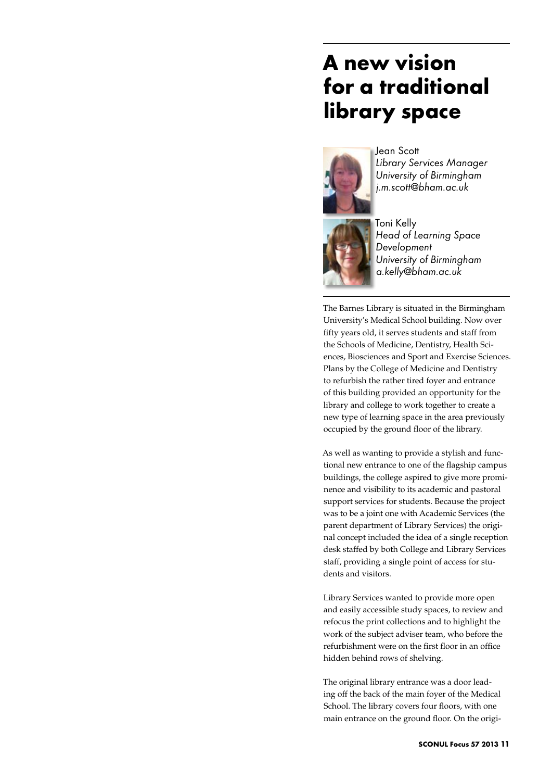## **A new vision for a traditional library space**



Jean Scott *Library Services Manager University of Birmingham j.m.scott@bham.ac.uk*



Toni Kelly *Head of Learning Space Development University of Birmingham a.kelly@bham.ac.uk*

The Barnes Library is situated in the Birmingham University's Medical School building. Now over fifty years old, it serves students and staff from the Schools of Medicine, Dentistry, Health Sciences, Biosciences and Sport and Exercise Sciences. Plans by the College of Medicine and Dentistry to refurbish the rather tired foyer and entrance of this building provided an opportunity for the library and college to work together to create a new type of learning space in the area previously occupied by the ground floor of the library.

As well as wanting to provide a stylish and functional new entrance to one of the flagship campus buildings, the college aspired to give more prominence and visibility to its academic and pastoral support services for students. Because the project was to be a joint one with Academic Services (the parent department of Library Services) the original concept included the idea of a single reception desk staffed by both College and Library Services staff, providing a single point of access for students and visitors.

Library Services wanted to provide more open and easily accessible study spaces, to review and refocus the print collections and to highlight the work of the subject adviser team, who before the refurbishment were on the first floor in an office hidden behind rows of shelving.

The original library entrance was a door leading off the back of the main foyer of the Medical School. The library covers four floors, with one main entrance on the ground floor. On the origi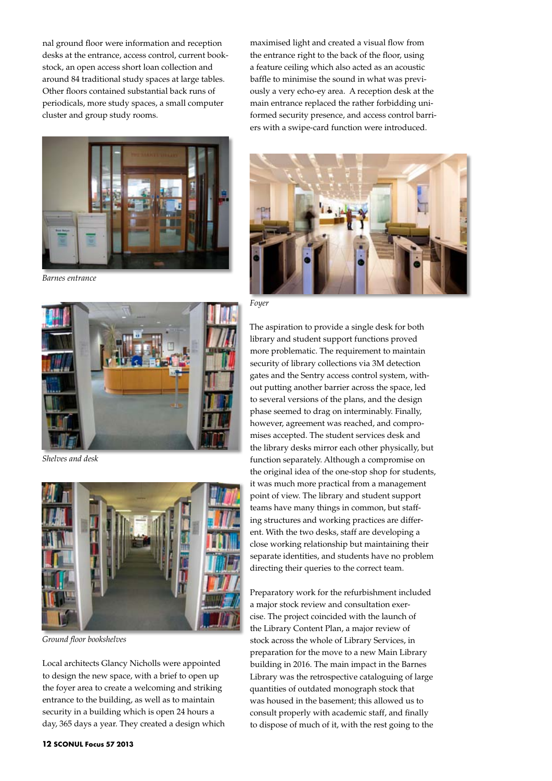nal ground floor were information and reception desks at the entrance, access control, current bookstock, an open access short loan collection and around 84 traditional study spaces at large tables. Other floors contained substantial back runs of periodicals, more study spaces, a small computer cluster and group study rooms.



*Barnes entrance*



*Shelves and desk*



*Ground floor bookshelves*

Local architects Glancy Nicholls were appointed to design the new space, with a brief to open up the foyer area to create a welcoming and striking entrance to the building, as well as to maintain security in a building which is open 24 hours a day, 365 days a year. They created a design which

maximised light and created a visual flow from the entrance right to the back of the floor, using a feature ceiling which also acted as an acoustic baffle to minimise the sound in what was previously a very echo-ey area. A reception desk at the main entrance replaced the rather forbidding uniformed security presence, and access control barriers with a swipe-card function were introduced.



*Foyer*

The aspiration to provide a single desk for both library and student support functions proved more problematic. The requirement to maintain security of library collections via 3M detection gates and the Sentry access control system, without putting another barrier across the space, led to several versions of the plans, and the design phase seemed to drag on interminably. Finally, however, agreement was reached, and compromises accepted. The student services desk and the library desks mirror each other physically, but function separately. Although a compromise on the original idea of the one-stop shop for students, it was much more practical from a management point of view. The library and student support teams have many things in common, but staffing structures and working practices are different. With the two desks, staff are developing a close working relationship but maintaining their separate identities, and students have no problem directing their queries to the correct team.

Preparatory work for the refurbishment included a major stock review and consultation exercise. The project coincided with the launch of the Library Content Plan, a major review of stock across the whole of Library Services, in preparation for the move to a new Main Library building in 2016. The main impact in the Barnes Library was the retrospective cataloguing of large quantities of outdated monograph stock that was housed in the basement; this allowed us to consult properly with academic staff, and finally to dispose of much of it, with the rest going to the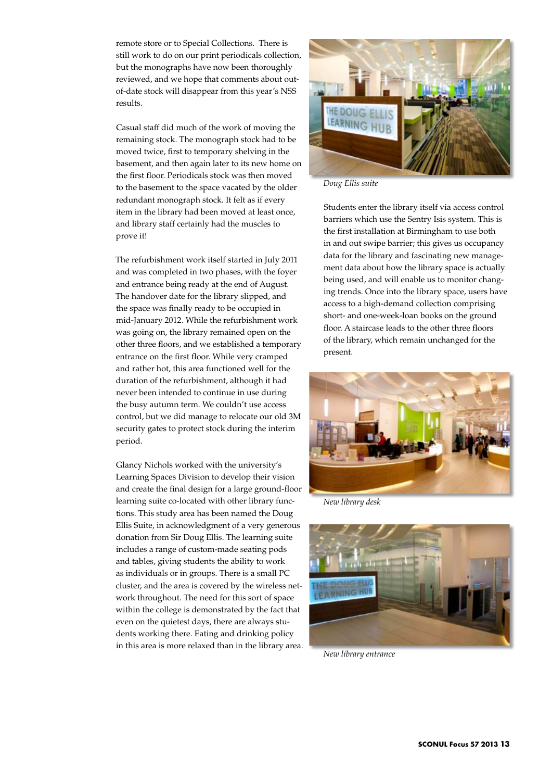remote store or to Special Collections. There is still work to do on our print periodicals collection, but the monographs have now been thoroughly reviewed, and we hope that comments about outof-date stock will disappear from this year's NSS results.

Casual staff did much of the work of moving the remaining stock. The monograph stock had to be moved twice, first to temporary shelving in the basement, and then again later to its new home on the first floor. Periodicals stock was then moved to the basement to the space vacated by the older redundant monograph stock. It felt as if every item in the library had been moved at least once, and library staff certainly had the muscles to prove it!

The refurbishment work itself started in July 2011 and was completed in two phases, with the foyer and entrance being ready at the end of August. The handover date for the library slipped, and the space was finally ready to be occupied in mid-January 2012. While the refurbishment work was going on, the library remained open on the other three floors, and we established a temporary entrance on the first floor. While very cramped and rather hot, this area functioned well for the duration of the refurbishment, although it had never been intended to continue in use during the busy autumn term. We couldn't use access control, but we did manage to relocate our old 3M security gates to protect stock during the interim period.

Glancy Nichols worked with the university's Learning Spaces Division to develop their vision and create the final design for a large ground-floor learning suite co-located with other library functions. This study area has been named the Doug Ellis Suite, in acknowledgment of a very generous donation from Sir Doug Ellis. The learning suite includes a range of custom-made seating pods and tables, giving students the ability to work as individuals or in groups. There is a small PC cluster, and the area is covered by the wireless network throughout. The need for this sort of space within the college is demonstrated by the fact that even on the quietest days, there are always students working there. Eating and drinking policy in this area is more relaxed than in the library area.



*Doug Ellis suite*

Students enter the library itself via access control barriers which use the Sentry Isis system. This is the first installation at Birmingham to use both in and out swipe barrier; this gives us occupancy data for the library and fascinating new management data about how the library space is actually being used, and will enable us to monitor changing trends. Once into the library space, users have access to a high-demand collection comprising short- and one-week-loan books on the ground floor. A staircase leads to the other three floors of the library, which remain unchanged for the present.



*New library desk*



*New library entrance*